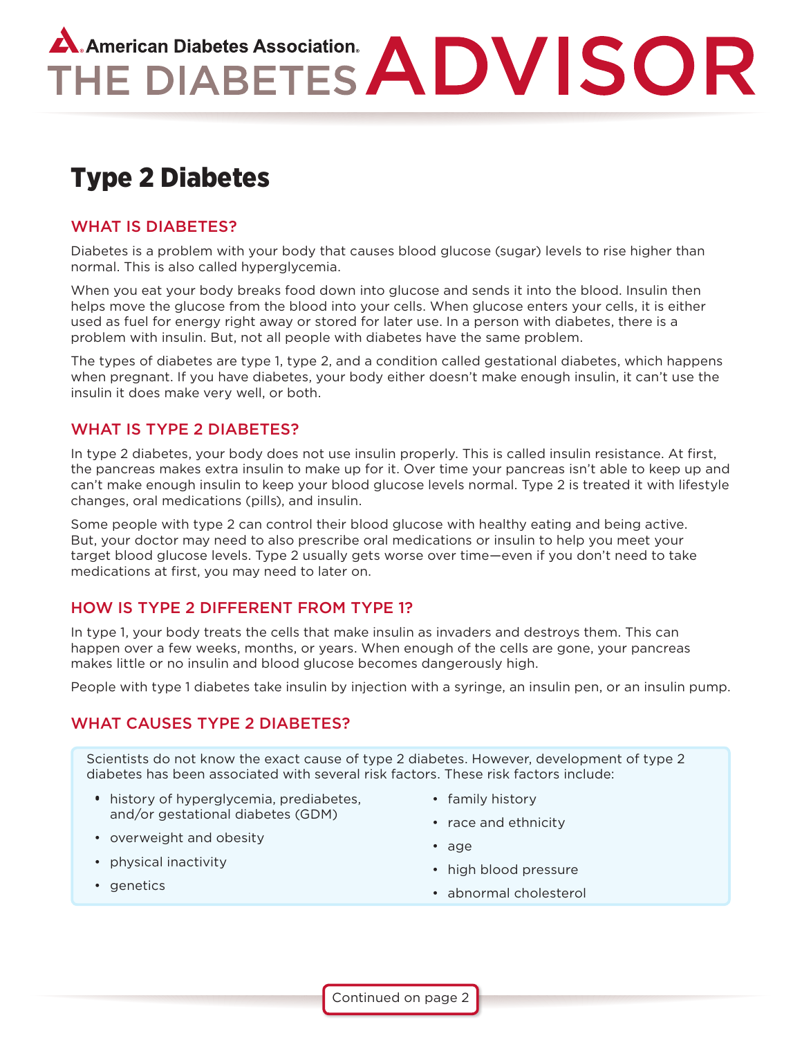

# Type 2 Diabetes

## WHAT IS DIABETES?

Diabetes is a problem with your body that causes blood glucose (sugar) levels to rise higher than normal. This is also called hyperglycemia.

When you eat your body breaks food down into glucose and sends it into the blood. Insulin then helps move the glucose from the blood into your cells. When glucose enters your cells, it is either used as fuel for energy right away or stored for later use. In a person with diabetes, there is a problem with insulin. But, not all people with diabetes have the same problem.

The types of diabetes are type 1, type 2, and a condition called gestational diabetes, which happens when pregnant. If you have diabetes, your body either doesn't make enough insulin, it can't use the insulin it does make very well, or both.

## WHAT IS TYPE 2 DIABETES?

In type 2 diabetes, your body does not use insulin properly. This is called insulin resistance. At first, the pancreas makes extra insulin to make up for it. Over time your pancreas isn't able to keep up and can't make enough insulin to keep your blood glucose levels normal. Type 2 is treated it with lifestyle changes, oral medications (pills), and insulin.

Some people with type 2 can control their blood glucose with healthy eating and being active. But, your doctor may need to also prescribe oral medications or insulin to help you meet your target blood glucose levels. Type 2 usually gets worse over time—even if you don't need to take medications at first, you may need to later on.

# HOW IS TYPE 2 DIFFERENT FROM TYPE 1?

In type 1, your body treats the cells that make insulin as invaders and destroys them. This can happen over a few weeks, months, or years. When enough of the cells are gone, your pancreas makes little or no insulin and blood glucose becomes dangerously high.

People with type 1 diabetes take insulin by injection with a syringe, an insulin pen, or an insulin pump.

# WHAT CAUSES TYPE 2 DIABETES?

Scientists do not know the exact cause of type 2 diabetes. However, development of type 2 diabetes has been associated with several risk factors. These risk factors include:

- • history of hyperglycemia, prediabetes, and/or gestational diabetes (GDM)
- overweight and obesity
- physical inactivity
- genetics
- family history
- race and ethnicity
- age
- high blood pressure
- abnormal cholesterol